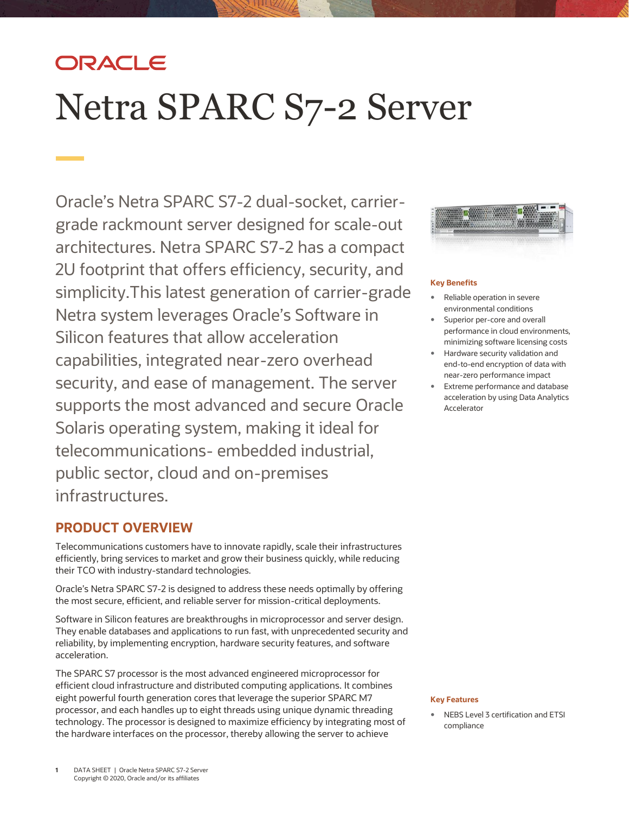## ORACLE

# Netra SPARC S7-2 Server

 2U footprint that offers efficiency, security, and simplicity.This latest generation of carrier-grade capabilities, integrated near-zero overhead Solaris operating system, making it ideal for public sector, cloud and on-premises Oracle's Netra SPARC S7-2 dual-socket, carriergrade rackmount server designed for scale-out architectures. Netra SPARC S7-2 has a compact Netra system leverages Oracle's Software in Silicon features that allow acceleration security, and ease of management. The server supports the most advanced and secure Oracle telecommunications- embedded industrial, infrastructures.

## **PRODUCT OVERVIEW**

 Telecommunications customers have to innovate rapidly, scale their infrastructures efficiently, bring services to market and grow their business quickly, while reducing their TCO with industry-standard technologies.

 the most secure, efficient, and reliable server for mission-critical deployments. Oracle's Netra SPARC S7-2 is designed to address these needs optimally by offering

 Software in Silicon features are breakthroughs in microprocessor and server design. They enable databases and applications to run fast, with unprecedented security and reliability, by implementing encryption, hardware security features, and software acceleration.

 The SPARC S7 processor is the most advanced engineered microprocessor for efficient cloud infrastructure and distributed computing applications. It combines eight powerful fourth generation cores that leverage the superior SPARC M7 processor, and each handles up to eight threads using unique dynamic threading technology. The processor is designed to maximize efficiency by integrating most of the hardware interfaces on the processor, thereby allowing the server to achieve



#### **Key Benefits**

- Reliable operation in severe environmental conditions
- **Superior per-core and overall**  performance in cloud environments, minimizing software licensing costs
- Hardware security validation and end-to-end encryption of data with near-zero performance impact
- acceleration by using Data Analytics Extreme performance and database Accelerator

#### **Key Features**

 NEBS Level 3 certification and ETSI compliance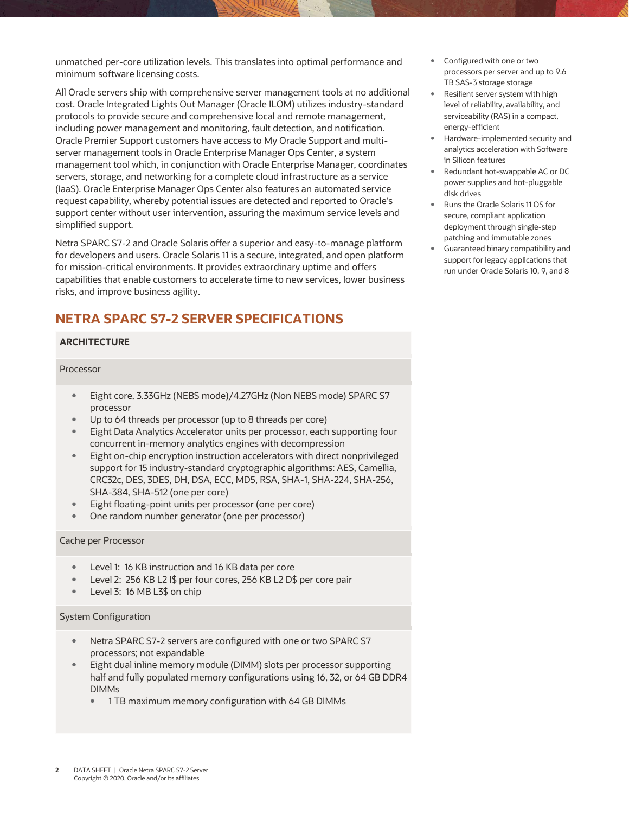minimum software licensing costs.

 All Oracle servers ship with comprehensive server management tools at no additional cost. Oracle Integrated Lights Out Manager (Oracle ILOM) utilizes industry-standard including power management and monitoring, fault detection, and notification. Oracle Premier Support customers have access to My Oracle Support and multi- server management tools in Oracle Enterprise Manager Ops Center, a system management tool which, in conjunction with Oracle Enterprise Manager, coordinates servers, storage, and networking for a complete cloud infrastructure as a service (IaaS). Oracle Enterprise Manager Ops Center also features an automated service request capability, whereby potential issues are detected and reported to Oracle's support center without user intervention, assuring the maximum service levels and unmatched per-core utilization levels. This translates into optimal performance and<br>minimum software licensing costs.<br>All Oracle servers ship with comprehensive server management tools at no additiona<br>cost. Oracle Integrat protocols to provide secure and comprehensive local and remote management, simplified support.

 Netra SPARC S7-2 and Oracle Solaris offer a superior and easy-to-manage platform for developers and users. Oracle Solaris 11 is a secure, integrated, and open platform for mission-critical environments. It provides extraordinary uptime and offers capabilities that enable customers to accelerate time to new services, lower business risks, and improve business agility.

## **NETRA SPARC S7-2 SERVER SPECIFICATIONS**

#### **ARCHITECTURE**

#### Processor

- Eight core, 3.33GHz (NEBS mode)/4.27GHz (Non NEBS mode) SPARC S7 processor
- Up to 64 threads per processor (up to 8 threads per core)
- Eight Data Analytics Accelerator units per processor, each supporting four concurrent in-memory analytics engines with decompression
- Eight on-chip encryption instruction accelerators with direct nonprivileged support for 15 industry-standard cryptographic algorithms: AES, Camellia, CRC32c, DES, 3DES, DH, DSA, ECC, MD5, RSA, SHA-1, SHA-224, SHA-256, SHA-384, SHA-512 (one per core)
- **Eight floating-point units per processor (one per core)**
- One random number generator (one per processor)

#### Cache per Processor

- **Level 1: 16 KB** instruction and 16 KB data per core
- Level 2: 256 KB L2 I\$ per four cores, 256 KB L2 D\$ per core pair
- Level 3: 16 MB L3\$ on chip

#### System Configuration

- Netra SPARC S7-2 servers are configured with one or two SPARC S7 processors; not expandable
- Eight dual inline memory module (DIMM) slots per processor supporting half and fully populated memory configurations using 16, 32, or 64 GB DDR4 DIMMs
	- **1 TB maximum memory configuration with 64 GB DIMMs**
- Configured with one or two processors per server and up to 9.6 TB SAS-3 storage storage
- Resilient server system with high level of reliability, availability, and serviceability (RAS) in a compact, energy-efficient
- analytics acceleration with Software in Silicon features Hardware-implemented security and
- Redundant hot-swappable AC or DC power supplies and hot-pluggable disk drives
- Runs the Oracle Solaris 11 OS for secure, compliant application deployment through single-step patching and immutable zones
- support for legacy applications that run under Oracle Solaris 10, 9, and 8 Guaranteed binary compatibility and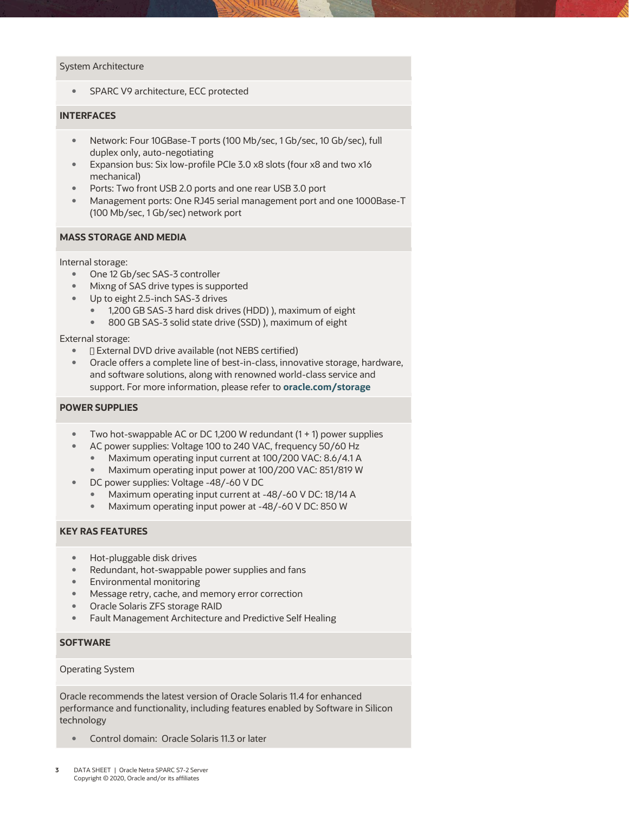#### System Architecture

**SPARC V9 architecture, ECC protected** 

#### **INTERFACES**

- Network: Four 10GBase-T ports (100 Mb/sec, 1 Gb/sec, 10 Gb/sec), full duplex only, auto-negotiating
- **Expansion bus: Six low-profile PCIe 3.0 x8 slots (four x8 and two x16** mechanical)
- Ports: Two front USB 2.0 ports and one rear USB 3.0 port
- Management ports: One RJ45 serial management port and one 1000Base-T (100 Mb/sec, 1 Gb/sec) network port

#### **MASS STORAGE AND MEDIA**

#### Internal storage:

- One 12 Gb/sec SAS-3 controller
- **Mixng of SAS drive types is supported**
- Up to eight 2.5-inch SAS-3 drives
	- 1,200 GB SAS-3 hard disk drives (HDD) ), maximum of eight
	- 800 GB SAS-3 solid state drive (SSD) ), maximum of eight

#### External storage:

- $\blacksquare$  External DVD drive available (not NEBS certified)
- Oracle offers a complete line of best-in-class, innovative storage, hardware, and software solutions, along with renowned world-class service and support. For more information, please refer to **[oracle.com/storage](http://www.oracle.com/storage)**

#### **POWER SUPPLIES**

- $\bullet$  Two hot-swappable AC or DC 1,200 W redundant (1 + 1) power supplies
- AC power supplies: Voltage 100 to 240 VAC, frequency 50/60 Hz
	- Maximum operating input current at 100/200 VAC: 8.6/4.1 A
	- Maximum operating input power at 100/200 VAC: 851/819 W
- DC power supplies: Voltage -48/-60 V DC
	- Maximum operating input current at -48/-60 V DC: 18/14 A
	- **Maximum operating input power at -48/-60 V DC: 850 W**

#### **KEY RAS FEATURES**

- Hot-pluggable disk drives
- Redundant, hot-swappable power supplies and fans
- Environmental monitoring
- **Message retry, cache, and memory error correction**
- Oracle Solaris ZFS storage RAID
- Fault Management Architecture and Predictive Self Healing

#### **SOFTWARE**

#### Operating System

 Oracle recommends the latest version of Oracle Solaris 11.4 for enhanced performance and functionality, including features enabled by Software in Silicon technology

**Control domain: Oracle Solaris 11.3 or later**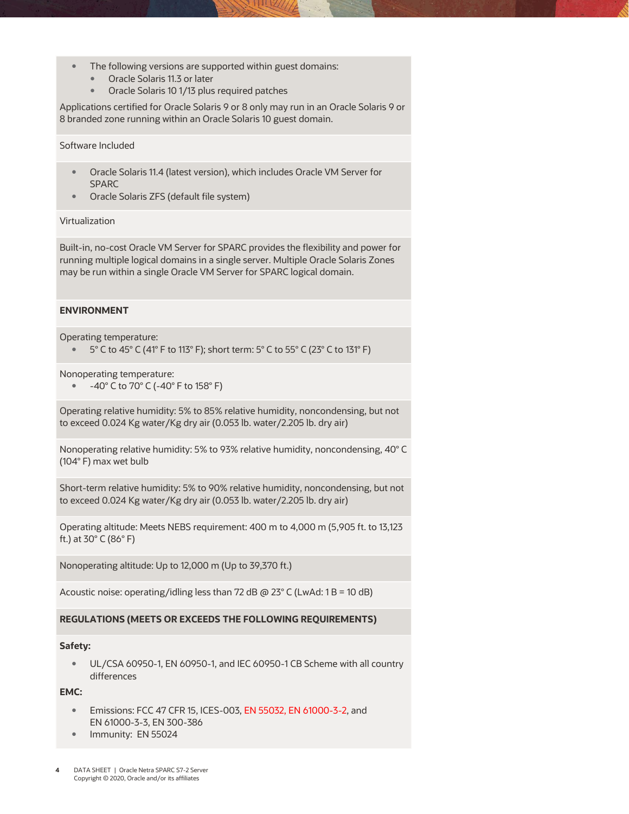- The following versions are supported within guest domains:
	- Oracle Solaris 11.3 or later
	- **•** Oracle Solaris 10 1/13 plus required patches

 Applications certified for Oracle Solaris 9 or 8 only may run in an Oracle Solaris 9 or 8 branded zone running within an Oracle Solaris 10 guest domain.

#### Software Included

- Oracle Solaris 11.4 (latest version), which includes Oracle VM Server for SPARC
- Oracle Solaris ZFS (default file system)

#### Virtualization

 Built-in, no-cost Oracle VM Server for SPARC provides the flexibility and power for may be run within a single Oracle VM Server for SPARC logical domain. running multiple logical domains in a single server. Multiple Oracle Solaris Zones

#### **ENVIRONMENT**

Operating temperature:

 $\degree$  5° C to 45° C (41° F to 113° F); short term: 5° C to 55° C (23° C to 131° F)

Nonoperating temperature:

 $-40^{\circ}$  C to 70° C (-40° F to 158° F)

 Operating relative humidity: 5% to 85% relative humidity, noncondensing, but not to exceed 0.024 Kg water/Kg dry air (0.053 lb. water/2.205 lb. dry air)

 Nonoperating relative humidity: 5% to 93% relative humidity, noncondensing, 40° C (104° F) max wet bulb

 Short-term relative humidity: 5% to 90% relative humidity, noncondensing, but not to exceed 0.024 Kg water/Kg dry air (0.053 lb. water/2.205 lb. dry air)

 Operating altitude: Meets NEBS requirement: 400 m to 4,000 m (5,905 ft. to 13,123 ft.) at 30° C (86° F)

Nonoperating altitude: Up to 12,000 m (Up to 39,370 ft.)

Acoustic noise: operating/idling less than 72 dB @ 23° C (LwAd: 1 B = 10 dB)

#### **REGULATIONS (MEETS OR EXCEEDS THE FOLLOWING REQUIREMENTS)**

#### **Safety:**

 UL/CSA 60950-1, EN 60950-1, and IEC 60950-1 CB Scheme with all country differences

#### **EMC:**

- **Emissions: FCC 47 CFR 15, ICES-003, EN 55032, EN 61000-3-2, and** EN 61000-3-3, EN 300-386
- Immunity: EN 55024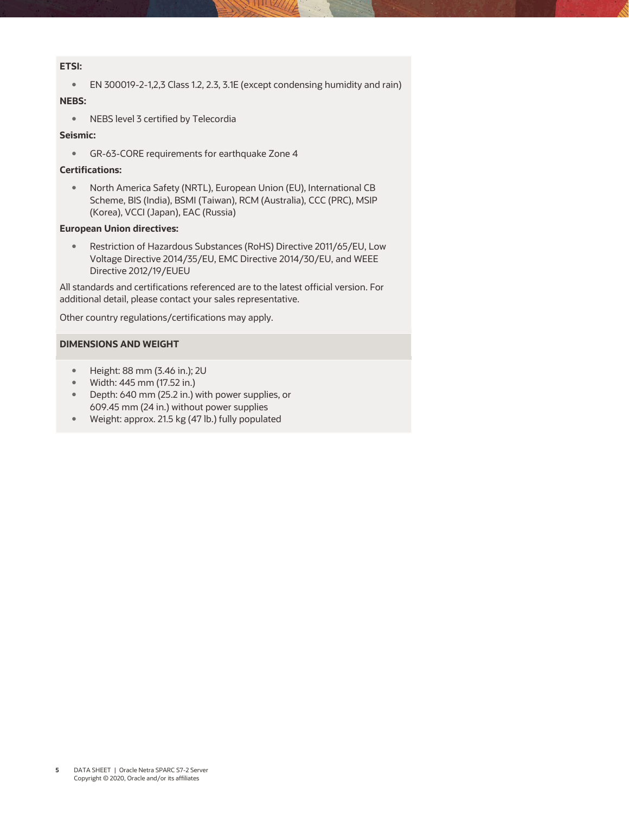#### **ETSI:**

EN 300019-2-1,2,3 Class 1.2, 2.3, 3.1E (except condensing humidity and rain)

#### **NEBS:**

NEBS level 3 certified by Telecordia

#### **Seismic:**

GR-63-CORE requirements for earthquake Zone 4

#### **Certifications:**

 North America Safety (NRTL), European Union (EU), International CB Scheme, BIS (India), BSMI (Taiwan), RCM (Australia), CCC (PRC), MSIP (Korea), VCCI (Japan), EAC (Russia)

#### **European Union directives:**

 Voltage Directive 2014/35/EU, EMC Directive 2014/30/EU, and WEEE Restriction of Hazardous Substances (RoHS) Directive 2011/65/EU, Low Directive 2012/19/EUEU

 All standards and certifications referenced are to the latest official version. For additional detail, please contact your sales representative.

Other country regulations/certifications may apply.

#### **DIMENSIONS AND WEIGHT**

- Height: 88 mm (3.46 in.); 2U
- Width: 445 mm (17.52 in.)
- Depth: 640 mm (25.2 in.) with power supplies, or 609.45 mm (24 in.) without power supplies
- Weight: approx. 21.5 kg (47 lb.) fully populated